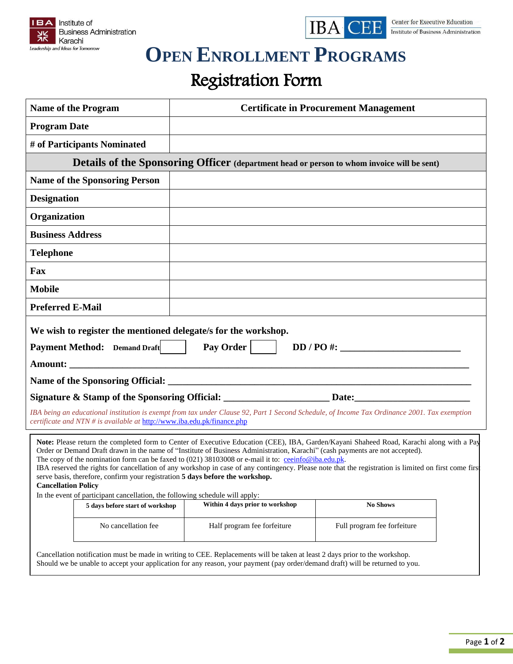



## **OPEN ENROLLMENT PROGRAMS**

## Registration Form

| <b>Name of the Program</b>                                                                                                                                                                  | <b>Certificate in Procurement Management</b>                                                                                                                                                                                                                 |                                                                                                                                                                                                                                                                                                   |  |
|---------------------------------------------------------------------------------------------------------------------------------------------------------------------------------------------|--------------------------------------------------------------------------------------------------------------------------------------------------------------------------------------------------------------------------------------------------------------|---------------------------------------------------------------------------------------------------------------------------------------------------------------------------------------------------------------------------------------------------------------------------------------------------|--|
| <b>Program Date</b>                                                                                                                                                                         |                                                                                                                                                                                                                                                              |                                                                                                                                                                                                                                                                                                   |  |
| # of Participants Nominated                                                                                                                                                                 |                                                                                                                                                                                                                                                              |                                                                                                                                                                                                                                                                                                   |  |
|                                                                                                                                                                                             |                                                                                                                                                                                                                                                              | Details of the Sponsoring Officer (department head or person to whom invoice will be sent)                                                                                                                                                                                                        |  |
| <b>Name of the Sponsoring Person</b>                                                                                                                                                        |                                                                                                                                                                                                                                                              |                                                                                                                                                                                                                                                                                                   |  |
| <b>Designation</b>                                                                                                                                                                          |                                                                                                                                                                                                                                                              |                                                                                                                                                                                                                                                                                                   |  |
| Organization                                                                                                                                                                                |                                                                                                                                                                                                                                                              |                                                                                                                                                                                                                                                                                                   |  |
| <b>Business Address</b>                                                                                                                                                                     |                                                                                                                                                                                                                                                              |                                                                                                                                                                                                                                                                                                   |  |
| <b>Telephone</b>                                                                                                                                                                            |                                                                                                                                                                                                                                                              |                                                                                                                                                                                                                                                                                                   |  |
| Fax                                                                                                                                                                                         |                                                                                                                                                                                                                                                              |                                                                                                                                                                                                                                                                                                   |  |
| <b>Mobile</b>                                                                                                                                                                               |                                                                                                                                                                                                                                                              |                                                                                                                                                                                                                                                                                                   |  |
| <b>Preferred E-Mail</b>                                                                                                                                                                     |                                                                                                                                                                                                                                                              |                                                                                                                                                                                                                                                                                                   |  |
| <b>Payment Method:</b> Demand Draft                                                                                                                                                         | We wish to register the mentioned delegate/s for the workshop.<br>Pay Order                                                                                                                                                                                  |                                                                                                                                                                                                                                                                                                   |  |
|                                                                                                                                                                                             |                                                                                                                                                                                                                                                              | Signature & Stamp of the Sponsoring Official: _________________________Date: _________________________________                                                                                                                                                                                    |  |
| certificate and NTN # is available at http://www.iba.edu.pk/finance.php                                                                                                                     |                                                                                                                                                                                                                                                              | IBA being an educational institution is exempt from tax under Clause 92, Part 1 Second Schedule, of Income Tax Ordinance 2001. Tax exemption                                                                                                                                                      |  |
| serve basis, therefore, confirm your registration 5 days before the workshop.<br><b>Cancellation Policy</b><br>In the event of participant cancellation, the following schedule will apply: | Order or Demand Draft drawn in the name of "Institute of Business Administration, Karachi" (cash payments are not accepted).<br>The copy of the nomination form can be faxed to (021) 38103008 or e-mail it to: ceeinfo@iba.edu.pk.                          | Note: Please return the completed form to Center of Executive Education (CEE), IBA, Garden/Kayani Shaheed Road, Karachi along with a Pay<br>IBA reserved the rights for cancellation of any workshop in case of any contingency. Please note that the registration is limited on first come first |  |
| 5 days before start of workshop                                                                                                                                                             | Within 4 days prior to workshop                                                                                                                                                                                                                              | <b>No Shows</b>                                                                                                                                                                                                                                                                                   |  |
| No cancellation fee                                                                                                                                                                         | Half program fee forfeiture                                                                                                                                                                                                                                  | Full program fee forfeiture                                                                                                                                                                                                                                                                       |  |
|                                                                                                                                                                                             | Cancellation notification must be made in writing to CEE. Replacements will be taken at least 2 days prior to the workshop.<br>Should we be unable to accept your application for any reason, your payment (pay order/demand draft) will be returned to you. |                                                                                                                                                                                                                                                                                                   |  |